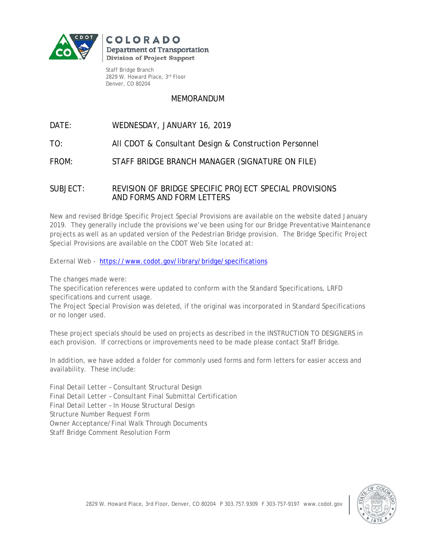

COLORADO **Department of Transportation Division of Project Support** 

Staff Bridge Branch 2829 W. Howard Place, 3rd Floor Denver, CO 80204

## MEMORANDUM

## DATE: WEDNESDAY, JANUARY 16, 2019

TO: All CDOT & Consultant Design & Construction Personnel

FROM: STAFF BRIDGE BRANCH MANAGER (SIGNATURE ON FILE)

## SUBJECT: REVISION OF BRIDGE SPECIFIC PROJECT SPECIAL PROVISIONS AND FORMS AND FORM LETTERS

New and revised Bridge Specific Project Special Provisions are available on the website dated January 2019. They generally include the provisions we've been using for our Bridge Preventative Maintenance projects as well as an updated version of the Pedestrian Bridge provision. The Bridge Specific Project Special Provisions are available on the CDOT Web Site located at:

External Web - <https://www.codot.gov/library/bridge/specifications>

The changes made were:

The specification references were updated to conform with the Standard Specifications, LRFD specifications and current usage.

The Project Special Provision was deleted, if the original was incorporated in Standard Specifications or no longer used.

These project specials should be used on projects as described in the INSTRUCTION TO DESIGNERS in each provision. If corrections or improvements need to be made please contact Staff Bridge.

In addition, we have added a folder for commonly used forms and form letters for easier access and availability. These include:

Final Detail Letter – Consultant Structural Design Final Detail Letter – Consultant Final Submittal Certification Final Detail Letter – In House Structural Design Structure Number Request Form Owner Acceptance/Final Walk Through Documents Staff Bridge Comment Resolution Form